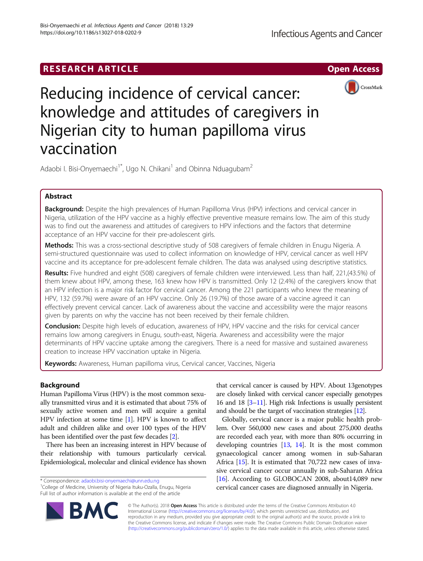# RESEARCH ARTICLE **External of the Contract Contract Contract Contract Contract Contract Contract Contract Contract Contract Contract Contract Contract Contract Contract Contract Contract Contract Contract Contract Contract**





Reducing incidence of cervical cancer: knowledge and attitudes of caregivers in Nigerian city to human papilloma virus vaccination

Adaobi I. Bisi-Onyemaechi<sup>1\*</sup>, Ugo N. Chikani<sup>1</sup> and Obinna Nduagubam<sup>2</sup>

# Abstract

Background: Despite the high prevalences of Human Papilloma Virus (HPV) infections and cervical cancer in Nigeria, utilization of the HPV vaccine as a highly effective preventive measure remains low. The aim of this study was to find out the awareness and attitudes of caregivers to HPV infections and the factors that determine acceptance of an HPV vaccine for their pre-adolescent girls.

Methods: This was a cross-sectional descriptive study of 508 caregivers of female children in Enugu Nigeria. A semi-structured questionnaire was used to collect information on knowledge of HPV, cervical cancer as well HPV vaccine and its acceptance for pre-adolescent female children. The data was analysed using descriptive statistics.

Results: Five hundred and eight (508) caregivers of female children were interviewed. Less than half, 221, (43.5%) of them knew about HPV, among these, 163 knew how HPV is transmitted. Only 12 (2.4%) of the caregivers know that an HPV infection is a major risk factor for cervical cancer. Among the 221 participants who knew the meaning of HPV, 132 (59.7%) were aware of an HPV vaccine. Only 26 (19.7%) of those aware of a vaccine agreed it can effectively prevent cervical cancer. Lack of awareness about the vaccine and accessibility were the major reasons given by parents on why the vaccine has not been received by their female children.

Conclusion: Despite high levels of education, awareness of HPV, HPV vaccine and the risks for cervical cancer remains low among caregivers in Enugu, south-east, Nigeria. Awareness and accessibility were the major determinants of HPV vaccine uptake among the caregivers. There is a need for massive and sustained awareness creation to increase HPV vaccination uptake in Nigeria.

Keywords: Awareness, Human papilloma virus, Cervical cancer, Vaccines, Nigeria

# Background

Human Papilloma Virus (HPV) is the most common sexually transmitted virus and it is estimated that about 75% of sexually active women and men will acquire a genital HPV infection at some time [\[1](#page-4-0)]. HPV is known to affect adult and children alike and over 100 types of the HPV has been identified over the past few decades [\[2\]](#page-4-0).

There has been an increasing interest in HPV because of their relationship with tumours particularly cervical. Epidemiological, molecular and clinical evidence has shown

\* Correspondence: [adaobi.bisi-onyemaechi@unn.edu.ng](mailto:adaobi.bisi-onyemaechi@unn.edu.ng) <sup>1</sup>

<sup>1</sup> College of Medicine, University of Nigeria Ituku-Ozalla, Enugu, Nigeria Full list of author information is available at the end of the article



Globally, cervical cancer is a major public health problem. Over 560,000 new cases and about 275,000 deaths are recorded each year, with more than 80% occurring in developing countries [[13,](#page-4-0) [14\]](#page-4-0). It is the most common gynaecological cancer among women in sub-Saharan Africa [[15](#page-4-0)]. It is estimated that 70,722 new cases of invasive cervical cancer occur annually in sub-Saharan Africa [[16](#page-4-0)]. According to GLOBOCAN 2008, about14,089 new cervical cancer cases are diagnosed annually in Nigeria.



© The Author(s). 2018 Open Access This article is distributed under the terms of the Creative Commons Attribution 4.0 International License [\(http://creativecommons.org/licenses/by/4.0/](http://creativecommons.org/licenses/by/4.0/)), which permits unrestricted use, distribution, and reproduction in any medium, provided you give appropriate credit to the original author(s) and the source, provide a link to the Creative Commons license, and indicate if changes were made. The Creative Commons Public Domain Dedication waiver [\(http://creativecommons.org/publicdomain/zero/1.0/](http://creativecommons.org/publicdomain/zero/1.0/)) applies to the data made available in this article, unless otherwise stated.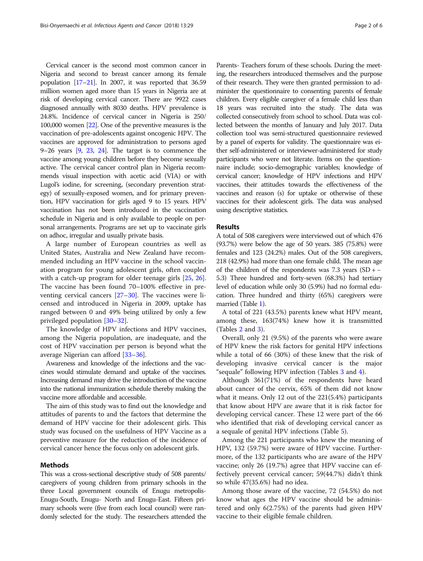Cervical cancer is the second most common cancer in Nigeria and second to breast cancer among its female population  $[17–21]$  $[17–21]$  $[17–21]$ . In 2007, it was reported that 36.59 million women aged more than 15 years in Nigeria are at risk of developing cervical cancer. There are 9922 cases diagnosed annually with 8030 deaths. HPV prevalence is 24.8%. Incidence of cervical cancer in Nigeria is 250/ 100,000 women [\[22\]](#page-4-0). One of the preventive measures is the vaccination of pre-adolescents against oncogenic HPV. The vaccines are approved for administration to persons aged 9–26 years [[9](#page-4-0), [23,](#page-4-0) [24](#page-4-0)]. The target is to commence the vaccine among young children before they become sexually active. The cervical cancer control plan in Nigeria recommends visual inspection with acetic acid (VIA) or with Lugol's iodine, for screening, (secondary prevention strategy) of sexually-exposed women, and for primary prevention, HPV vaccination for girls aged 9 to 15 years. HPV vaccination has not been introduced in the vaccination schedule in Nigeria and is only available to people on personal arrangements. Programs are set up to vaccinate girls on adhoc, irregular and usually private basis.

A large number of European countries as well as United States, Australia and New Zealand have recommended including an HPV vaccine in the school vaccination program for young adolescent girls, often coupled with a catch-up program for older teenage girls [\[25,](#page-4-0) [26](#page-5-0)]. The vaccine has been found 70–100% effective in preventing cervical cancers [\[27](#page-5-0)–[30](#page-5-0)]. The vaccines were licensed and introduced in Nigeria in 2009, uptake has ranged between 0 and 49% being utilized by only a few privileged population [[30](#page-5-0)–[32](#page-5-0)].

The knowledge of HPV infections and HPV vaccines, among the Nigeria population, are inadequate, and the cost of HPV vaccination per person is beyond what the average Nigerian can afford [[33](#page-5-0)–[36](#page-5-0)].

Awareness and knowledge of the infections and the vaccines would stimulate demand and uptake of the vaccines. Increasing demand may drive the introduction of the vaccine into the national immunization schedule thereby making the vaccine more affordable and accessible.

The aim of this study was to find out the knowledge and attitudes of parents to and the factors that determine the demand of HPV vaccine for their adolescent girls. This study was focused on the usefulness of HPV Vaccine as a preventive measure for the reduction of the incidence of cervical cancer hence the focus only on adolescent girls.

# Methods

This was a cross-sectional descriptive study of 508 parents/ caregivers of young children from primary schools in the three Local government councils of Enugu metropolis-Enugu-South, Enugu- North and Enugu-East. Fifteen primary schools were (five from each local council) were randomly selected for the study. The researchers attended the

Parents- Teachers forum of these schools. During the meeting, the researchers introduced themselves and the purpose of their research. They were then granted permission to administer the questionnaire to consenting parents of female children. Every eligible caregiver of a female child less than 18 years was recruited into the study. The data was collected consecutively from school to school. Data was collected between the months of January and July 2017. Data collection tool was semi-structured questionnaire reviewed by a panel of experts for validity. The questionnaire was either self-administered or interviewer-administered for study participants who were not literate. Items on the questionnaire include; socio-demographic variables; knowledge of cervical cancer; knowledge of HPV infections and HPV vaccines, their attitudes towards the effectiveness of the vaccines and reason (s) for uptake or otherwise of these vaccines for their adolescent girls. The data was analysed using descriptive statistics.

## Results

A total of 508 caregivers were interviewed out of which 476 (93.7%) were below the age of 50 years. 385 (75.8%) were females and 123 (24.2%) males. Out of the 508 caregivers, 218 (42.9%) had more than one female child. The mean age of the children of the respondents was  $7.3$  years  $(SD + -$ 5.3) Three hundred and forty-seven (68.3%) had tertiary level of education while only 30 (5.9%) had no formal education. Three hundred and thirty (65%) caregivers were married (Table [1\)](#page-2-0).

A total of 221 (43.5%) parents knew what HPV meant, among these, 163(74%) knew how it is transmitted (Tables [2](#page-2-0) and [3\)](#page-2-0).

Overall, only 21 (9.5%) of the parents who were aware of HPV knew the risk factors for genital HPV infections while a total of 66 (30%) of these knew that the risk of developing invasive cervical cancer is the major "sequale" following HPV infection (Tables [3](#page-2-0) and [4](#page-2-0)).

Although 361(71%) of the respondents have heard about cancer of the cervix, 65% of them did not know what it means. Only 12 out of the 221(5.4%) participants that know about HPV are aware that it is risk factor for developing cervical cancer. These 12 were part of the 66 who identified that risk of developing cervical cancer as a sequale of genital HPV infections (Table [5](#page-3-0)).

Among the 221 participants who knew the meaning of HPV, 132 (59.7%) were aware of HPV vaccine. Furthermore, of the 132 participants who are aware of the HPV vaccine; only 26 (19.7%) agree that HPV vaccine can effectively prevent cervical cancer; 59(44.7%) didn't think so while 47(35.6%) had no idea.

Among those aware of the vaccine, 72 (54.5%) do not know what ages the HPV vaccine should be administered and only 6(2.75%) of the parents had given HPV vaccine to their eligible female children.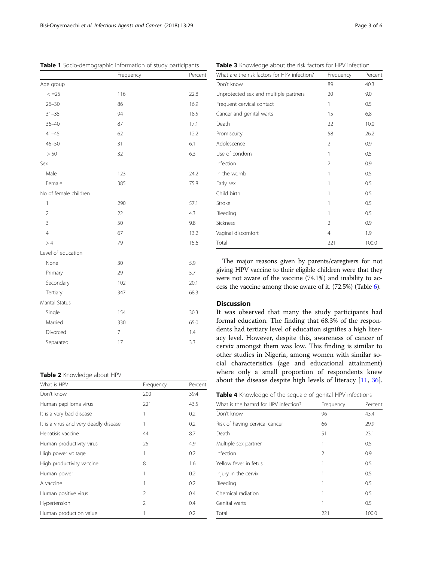|                       | Frequency      | Percent |
|-----------------------|----------------|---------|
| Age group             |                |         |
| $\leq$ = 25           | 116            | 22.8    |
| $26 - 30$             | 86             | 16.9    |
| $31 - 35$             | 94             | 18.5    |
| $36 - 40$             | 87             | 17.1    |
| $41 - 45$             | 62             | 12.2    |
| $46 - 50$             | 31             | 6.1     |
| > 50                  | 32             | 6.3     |
| Sex                   |                |         |
| Male                  | 123            | 24.2    |
| Female                | 385            | 75.8    |
| No of female children |                |         |
| 1                     | 290            | 57.1    |
| $\overline{2}$        | 22             | 4.3     |
| 3                     | 50             | 9.8     |
| $\overline{4}$        | 67             | 13.2    |
| >4                    | 79             | 15.6    |
| Level of education    |                |         |
| None                  | 30             | 5.9     |
| Primary               | 29             | 5.7     |
| Secondary             | 102            | 20.1    |
| Tertiary              | 347            | 68.3    |
| Marital Status        |                |         |
| Single                | 154            | 30.3    |
| Married               | 330            | 65.0    |
| Divorced              | $\overline{7}$ | 1.4     |
| Separated             | 17             | 3.3     |

What is HPV **Frequency** Percent Don't know 200 39.4 Human papilloma virus 221 43.5 It is a very bad disease 1 0.2 It is a virus and very deadly disease 1 1 0.2 Hepatisis vaccine 68.7 Human productivity virus 25 and 25 and 29 High power voltage 1 0.2 High productivity vaccine 8 1.6 Human power 1 0.2 A vaccine 1 0.2 Human positive virus and the control of the 2 and 2 and 2 and 2 and 2 and 2 and 2 and 2 and 2 and 2 and 2 and 2 and 2 and 2 and 2 and 2 and 2 and 2 and 2 and 2 and 2 and 2 and 2 and 2 and 2 and 2 and 2 and 2 and 2 and 2 an Hypertension 2 0.4 Human production value 1 1 0.2

Table 2 Knowledge about HPV

<span id="page-2-0"></span>Table 1 Socio-demographic information of study participants

Table 3 Knowledge about the risk factors for HPV infection

| What are the risk factors for HPV infection? | Frequency      | Percent |
|----------------------------------------------|----------------|---------|
| Don't know                                   | 89             | 40.3    |
| Unprotected sex and multiple partners        | 20             | 9.0     |
| Frequent cervical contact                    | 1              | 0.5     |
| Cancer and genital warts                     | 15             | 6.8     |
| Death                                        | 22             | 10.0    |
| Promiscuity                                  | 58             | 26.2    |
| Adolescence                                  | 2              | 0.9     |
| Use of condom                                | 1              | 0.5     |
| Infection                                    | $\overline{2}$ | 0.9     |
| In the womb                                  | 1              | 0.5     |
| Early sex                                    | 1              | 0.5     |
| Child birth                                  | 1              | 0.5     |
| Stroke                                       | 1              | 0.5     |
| Bleeding                                     | 1              | 0.5     |
| Sickness                                     | 2              | 0.9     |
| Vaginal discomfort                           | $\overline{4}$ | 1.9     |
| Total                                        | 221            | 100.0   |

The major reasons given by parents/caregivers for not giving HPV vaccine to their eligible children were that they were not aware of the vaccine (74.1%) and inability to access the vaccine among those aware of it. (72.5%) (Table [6\)](#page-3-0).

# Discussion

It was observed that many the study participants had formal education. The finding that 68.3% of the respondents had tertiary level of education signifies a high literacy level. However, despite this, awareness of cancer of cervix amongst them was low. This finding is similar to other studies in Nigeria, among women with similar social characteristics (age and educational attainment) where only a small proportion of respondents knew about the disease despite high levels of literacy [[11,](#page-4-0) [36](#page-5-0)].

| Table 4 Knowledge of the sequale of genital HPV infections |  |
|------------------------------------------------------------|--|
|------------------------------------------------------------|--|

| What is the hazard for HPV infection? | Frequency      | Percent |
|---------------------------------------|----------------|---------|
| Don't know                            | 96             | 43.4    |
| Risk of having cervical cancer        | 66             | 29.9    |
| Death                                 | 51             | 23.1    |
| Multiple sex partner                  | 1              | 0.5     |
| Infection                             | $\mathfrak{D}$ | 0.9     |
| Yellow fever in fetus                 | 1              | 0.5     |
| Injury in the cervix                  | 1              | 0.5     |
| Bleeding                              |                | 0.5     |
| Chemical radiation                    |                | 0.5     |
| Genital warts                         | 1              | 0.5     |
| Total                                 | 221            | 100.0   |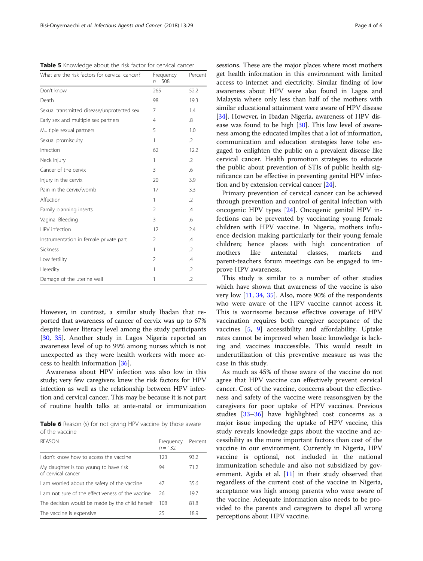<span id="page-3-0"></span>Table 5 Knowledge about the risk factor for cervical cancer

| What are the risk factors for cervical cancer? | Frequency<br>$n = 508$ | Percent         |
|------------------------------------------------|------------------------|-----------------|
| Don't know                                     | 265                    | 52.2            |
| Death                                          | 98                     | 19.3            |
| Sexual transmitted disease/unprotected sex     | 7                      | 1.4             |
| Early sex and multiple sex partners            | $\overline{4}$         | .8              |
| Multiple sexual partners                       | 5                      | 1.0             |
| Sexual promiscuity                             | 1                      | $\mathcal{P}$   |
| Infection                                      | 62                     | 12.2            |
| Neck injury                                    | 1                      | $\cdot$ .2      |
| Cancer of the cervix                           | 3                      | .6              |
| Injury in the cervix                           | 20                     | 3.9             |
| Pain in the cervix/womb                        | 17                     | 3.3             |
| Affection                                      | 1                      | $\mathcal{L}$   |
| Family planning inserts                        | $\mathfrak{D}$         | $\mathcal{A}$   |
| Vaginal Bleeding                               | 3                      | 6.6             |
| HPV infection                                  | 12                     | 2.4             |
| Instrumentation in female private part         | 2                      | $\mathcal{A}$   |
| Sickness                                       | 1                      | $\mathcal{L}$   |
| Low fertility                                  | 2                      | $\mathcal{A}$   |
| Heredity                                       | 1                      | $\mathcal{P}$   |
| Damage of the uterine wall                     | 1                      | $\overline{.2}$ |

However, in contrast, a similar study Ibadan that reported that awareness of cancer of cervix was up to 67% despite lower literacy level among the study participants [[30,](#page-5-0) [35\]](#page-5-0). Another study in Lagos Nigeria reported an awareness level of up to 99% among nurses which is not unexpected as they were health workers with more access to health information [[36\]](#page-5-0).

Awareness about HPV infection was also low in this study; very few caregivers knew the risk factors for HPV infection as well as the relationship between HPV infection and cervical cancer. This may be because it is not part of routine health talks at ante-natal or immunization

Table 6 Reason (s) for not giving HPV vaccine by those aware of the vaccine

| <b>REASON</b>                                               | Frequency<br>$n = 132$ | Percent |
|-------------------------------------------------------------|------------------------|---------|
| I don't know how to access the vaccine                      | 123                    | 93.2    |
| My daughter is too young to have risk<br>of cervical cancer | 94                     | 71.2    |
| I am worried about the safety of the vaccine                | 47                     | 35.6    |
| Lam not sure of the effectiveness of the vaccine            | 26                     | 19.7    |
| The decision would be made by the child herself             | 108                    | 81.8    |
| The vaccine is expensive                                    | 25                     | 18.9    |

sessions. These are the major places where most mothers get health information in this environment with limited access to internet and electricity. Similar finding of low awareness about HPV were also found in Lagos and Malaysia where only less than half of the mothers with similar educational attainment were aware of HPV disease [[34](#page-5-0)]. However, in Ibadan Nigeria, awareness of HPV disease was found to be high [\[30\]](#page-5-0). This low level of awareness among the educated implies that a lot of information, communication and education strategies have tobe engaged to enlighten the public on a prevalent disease like cervical cancer. Health promotion strategies to educate the public about prevention of STIs of public health significance can be effective in preventing genital HPV infection and by extension cervical cancer [[24](#page-4-0)].

Primary prevention of cervical cancer can be achieved through prevention and control of genital infection with oncogenic HPV types [\[24](#page-4-0)]. Oncogenic genital HPV infections can be prevented by vaccinating young female children with HPV vaccine. In Nigeria, mothers influence decision making particularly for their young female children; hence places with high concentration of mothers like antenatal classes, markets and parent-teachers forum meetings can be engaged to improve HPV awareness.

This study is similar to a number of other studies which have shown that awareness of the vaccine is also very low [[11](#page-4-0), [34](#page-5-0), [35\]](#page-5-0). Also, more 90% of the respondents who were aware of the HPV vaccine cannot access it. This is worrisome because effective coverage of HPV vaccination requires both caregiver acceptance of the vaccines [\[5](#page-4-0), [9](#page-4-0)] accessibility and affordability. Uptake rates cannot be improved when basic knowledge is lacking and vaccines inaccessible. This would result in underutilization of this preventive measure as was the case in this study.

As much as 45% of those aware of the vaccine do not agree that HPV vaccine can effectively prevent cervical cancer. Cost of the vaccine, concerns about the effectiveness and safety of the vaccine were reasonsgiven by the caregivers for poor uptake of HPV vaccines. Previous studies [\[33](#page-5-0)–[36\]](#page-5-0) have highlighted cost concerns as a major issue impeding the uptake of HPV vaccine, this study reveals knowledge gaps about the vaccine and accessibility as the more important factors than cost of the vaccine in our environment. Currently in Nigeria, HPV vaccine is optional, not included in the national immunization schedule and also not subsidized by government. Agida et al. [\[11](#page-4-0)] in their study observed that regardless of the current cost of the vaccine in Nigeria, acceptance was high among parents who were aware of the vaccine. Adequate information also needs to be provided to the parents and caregivers to dispel all wrong perceptions about HPV vaccine.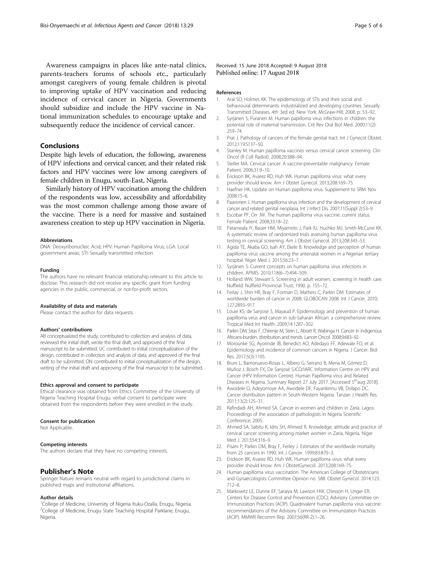<span id="page-4-0"></span>Awareness campaigns in places like ante-natal clinics, parents-teachers forums of schools etc., particularly amongst caregivers of young female children is pivotal to improving uptake of HPV vaccination and reducing incidence of cervical cancer in Nigeria. Governments should subsidize and include the HPV vaccine in National immunization schedules to encourage uptake and subsequently reduce the incidence of cervical cancer.

# Conclusions

Despite high levels of education, the following, awareness of HPV infections and cervical cancer, and their related risk factors and HPV vaccines were low among caregivers of female children in Enugu, south-East, Nigeria.

Similarly history of HPV vaccination among the children of the respondents was low, accessibility and affordability was the most common challenge among those aware of the vaccine. There is a need for massive and sustained awareness creation to step up HPV vaccination in Nigeria.

#### Abbreviations

DNA: Deoxyribonucleic Acid; HPV: Human Papilloma Virus; LGA: Local government areas; STI: Sexually transmitted infection

#### Funding

The authors have no relevant financial relationship relevant to this article to disclose. This research did not receive any specific grant from funding agencies in the public, commercial, or not-for-profit sectors.

### Availability of data and materials

Please contact the author for data requests.

### Authors' contributions

AB conceptualized the study, contributed to collection and analysis of data, reviewed the initial draft, wrote the final draft, and approved of the final manuscript to be submitted. UC contributed to initial conceptualization of the design, contributed in collection and analysis of data, and approved of the final draft to be submitted. ON contributed to initial conceptualization of the design, writing of the initial draft and approving of the final manuscript to be submitted.

### Ethics approval and consent to participate

Ethical clearance was obtained from Ethics Committee of the University of Nigeria Teaching Hospital Enugu. verbal consent to participate were obtained from the respondents before they were enrolled in the study.

### Consent for publication

Not Applicable.

### Competing interests

The authors declare that they have no competing interests.

# Publisher's Note

Springer Nature remains neutral with regard to jurisdictional claims in published maps and institutional affiliations.

### Author details

<sup>1</sup>College of Medicine, University of Nigeria Ituku-Ozalla, Enugu, Nigeria. 2 College of Medicine, Enugu State Teaching Hospital Parklane, Enugu, Nigeria.

Received: 15 June 2018 Accepted: 9 August 2018 Published online: 17 August 2018

### References

- 1. Aral SO, Holmes KK. The epidemiology of STIs and their social and behavioural determinants: industrialized and developing countries. Sexually Transmitted Diseases. 4th 3ed ed. New York: McGraw-Hill; 2008. p. 53–92.
- 2. Syrjänen S, Puranen M. Human papilloma virus infections in children: the potential role of maternal transmission. Crit Rev Oral Biol Med. 2000;11(2): .<br>259–74
- 3. Prat J. Pathology of cancers of the female genital tract. Int J Gynecol Obstet. 2012;119:S137–50.
- 4. Stanley M. Human papilloma vaccines versus cervical cancer screening. Clin Oncol (R Coll Radiol). 2008;20:388–94.
- 5. Steller MA. Cervical cancer: A vaccine-preventable malignancy. Female Patient. 2006;31:9–10.
- 6. Erickson BK, Avarez RD, Huh WK. Human papilloma virus: what every provider should know. Am J Obstet Gynecol. 2013;208:169–75.
- 7. Haefner HK. Update on Human papilloma virus. Supplement to SRM. Nov 2008:15–6.
- 8. Paavonen J. Human papilloma virus infection and the development of cervical cancer and related genital neoplasia. Int J Infect Dis. 2007;11(Suppl 2):S3–9.
- 9. Escobar PF, Orr JW. The human papilloma virus vaccine: current status. Female Patient. 2008;33:18–22.
- 10. Patanwala IY, Bauer HM, Miyamoto J, Park IU, Huchko MJ, Smith-McCune KK. A systematic review of randomized trials assessing human papilloma virus testing in cervical screening. Am J Obstet Gynecol. 2013;208:343–53.
- 11. Agida TE, Akaba GO, Isah AY, Ekele B. Knowledge and perception of human papilloma virus vaccine among the antenatal women in a Nigerian tertiary hospital. Niger Med J. 2015;56:23–7.
- 12. Syrjänen S. Current concepts on human papilloma virus infections in children. APMIS. 2010;118(6–7):494–509.
- 13. Holland WW, Stewart S. Screening in adult women, screening in health care. Nuffield: Nuffield Provincial Trust; 1990. p. 155–72.
- 14. Ferlay J, Shin HR, Bray F, Forman D, Mathers C, Parkin DM. Estimates of worldwide burden of cancer in 2008. GLOBOCAN 2008. Int J Cancer. 2010; 127:2893–917.
- 15. Louie KS, de Sanjose S, Mayaud P. Epidemiology and prevention of human papilloma virus and cancer in sub-Saharan African: a comprehensive review. Tropical Med Int Health. 2009;14:1287–302.
- 16. Parkin DM, Sitas F, Chirenje M, Stein L, Abratt R, Wabinga H. Cancer in indigenous Africans-burden, distribution and trends. Lancet Oncol. 2008;9:683–92.
- 17. Morounke SG, Ayorinde JB, Benedict AO, Adedayo FF, Adewale FO, et al. Epidemiology and incidence of common cancers in Nigeria. J Cancer. Biol Res. 2017;5(3):1105.
- 18. Bruni L, Barrionuevo-Rosas L, Albero G, Serrano B, Mena M, Gómez D, Muñoz J, Bosch FX, De Sanjosé S.ICO/IARC Information Centre on HPV and Cancer (HPV Information Centre). Human Papilloma virus and Related Diseases in Nigeria. Summary Report 27 July 2017. [Accessed 5<sup>th</sup>aug 2018].
- 19. Awodele O, Adeyomoye AA, Awodele DF, Fayankinnu VB, Dolapo DC. Cancer distribution pattern in South-Western Nigeria. Tanzan J Health Res. 2011;13(2):125–31.
- 20. Rafindadi AH, Ahmed SA. Cancer in women and children in Zaria. Lagos: Proceedings of the association of pathologists in Nigeria Scientific Conference; 2005.
- 21. Ahmed SA, Sabitu K, Idris SH, Ahmed R. Knowledge, attitude and practice of cervical cancer screening among market women in Zaria, Nigeria. Niger Med 1 2013;54:316-9.
- 22. Pisani P, Parkin DM, Bray F, Ferley J. Estimates of the worldwide mortality from 25 cancers in 1990. Int J Cancer. 1999;83:870–3.
- 23. Erickson BK, Avarez RD, Huh WK. Human papilloma virus: what every provider should know. Am J ObstetGynecol. 2013;208:169–75.
- 24. Human papilloma virus vaccination. The American College of Obstetricians and Gynaecologists Committee Opinion no. 588. Obstet Gynecol. 2014;123: 712–8.
- 25. Markowitz LE, Dunne EF, Saraiya M, Lawson HW, Chesson H, Unger ER. Centers for Disease Control and Prevention (CDC); Advisory Committee on Immunization Practices (ACIP). Quadrivalent human papilloma virus vaccine: recommendations of the Advisory Committee on Immunization Practices (ACIP). MMWR Recomm Rep. 2007;56(RR-2):1–26.